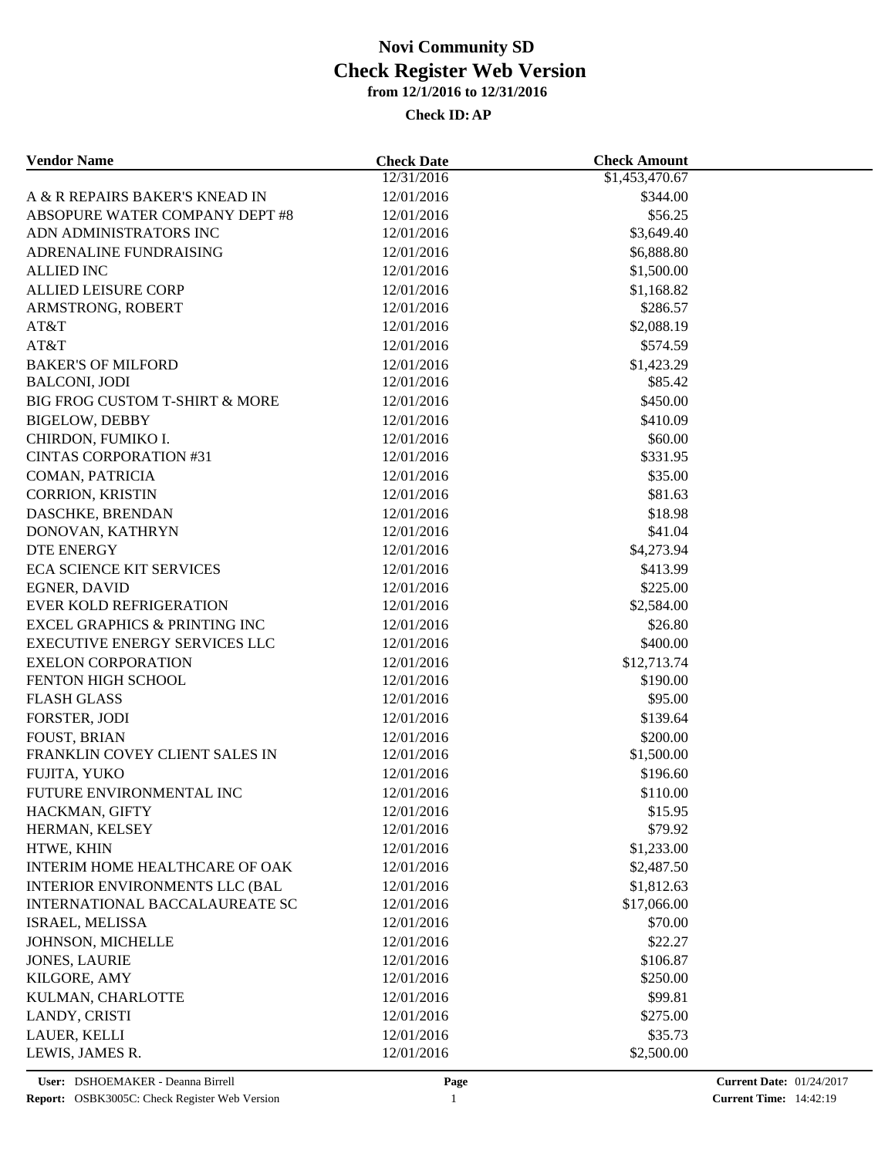| <b>Vendor Name</b>                       | <b>Check Date</b>        | <b>Check Amount</b> |  |
|------------------------------------------|--------------------------|---------------------|--|
|                                          | 12/31/2016               | \$1,453,470.67      |  |
| A & R REPAIRS BAKER'S KNEAD IN           | 12/01/2016               | \$344.00            |  |
| ABSOPURE WATER COMPANY DEPT #8           | 12/01/2016               | \$56.25             |  |
| ADN ADMINISTRATORS INC                   | 12/01/2016               | \$3,649.40          |  |
| ADRENALINE FUNDRAISING                   | 12/01/2016               | \$6,888.80          |  |
| <b>ALLIED INC</b>                        | 12/01/2016               | \$1,500.00          |  |
| <b>ALLIED LEISURE CORP</b>               | 12/01/2016               | \$1,168.82          |  |
| ARMSTRONG, ROBERT                        | 12/01/2016               | \$286.57            |  |
| AT&T                                     | 12/01/2016               | \$2,088.19          |  |
| AT&T                                     | 12/01/2016               | \$574.59            |  |
| <b>BAKER'S OF MILFORD</b>                | 12/01/2016               | \$1,423.29          |  |
| <b>BALCONI, JODI</b>                     | 12/01/2016               | \$85.42             |  |
| BIG FROG CUSTOM T-SHIRT & MORE           | 12/01/2016               | \$450.00            |  |
| <b>BIGELOW, DEBBY</b>                    | 12/01/2016               | \$410.09            |  |
| CHIRDON, FUMIKO I.                       | 12/01/2016               | \$60.00             |  |
| <b>CINTAS CORPORATION #31</b>            | 12/01/2016               | \$331.95            |  |
| COMAN, PATRICIA                          | 12/01/2016               | \$35.00             |  |
| <b>CORRION, KRISTIN</b>                  | 12/01/2016               | \$81.63             |  |
| DASCHKE, BRENDAN                         | 12/01/2016               | \$18.98             |  |
| DONOVAN, KATHRYN                         | 12/01/2016               | \$41.04             |  |
| <b>DTE ENERGY</b>                        | 12/01/2016               | \$4,273.94          |  |
| <b>ECA SCIENCE KIT SERVICES</b>          | 12/01/2016               | \$413.99            |  |
| <b>EGNER, DAVID</b>                      | 12/01/2016               | \$225.00            |  |
| <b>EVER KOLD REFRIGERATION</b>           | 12/01/2016               | \$2,584.00          |  |
| <b>EXCEL GRAPHICS &amp; PRINTING INC</b> | 12/01/2016               | \$26.80             |  |
| <b>EXECUTIVE ENERGY SERVICES LLC</b>     | 12/01/2016               | \$400.00            |  |
| <b>EXELON CORPORATION</b>                | 12/01/2016               | \$12,713.74         |  |
| FENTON HIGH SCHOOL                       | 12/01/2016               | \$190.00            |  |
| <b>FLASH GLASS</b>                       | 12/01/2016               | \$95.00             |  |
| FORSTER, JODI                            | 12/01/2016               | \$139.64            |  |
| <b>FOUST, BRIAN</b>                      | 12/01/2016               | \$200.00            |  |
| FRANKLIN COVEY CLIENT SALES IN           | 12/01/2016               | \$1,500.00          |  |
| FUJITA, YUKO                             | 12/01/2016               | \$196.60            |  |
| FUTURE ENVIRONMENTAL INC                 | 12/01/2016               | \$110.00            |  |
|                                          |                          |                     |  |
| HACKMAN, GIFTY<br>HERMAN, KELSEY         | 12/01/2016<br>12/01/2016 | \$15.95<br>\$79.92  |  |
| HTWE, KHIN                               | 12/01/2016               | \$1,233.00          |  |
|                                          |                          | \$2,487.50          |  |
| <b>INTERIM HOME HEALTHCARE OF OAK</b>    | 12/01/2016               |                     |  |
| <b>INTERIOR ENVIRONMENTS LLC (BAL</b>    | 12/01/2016               | \$1,812.63          |  |
| INTERNATIONAL BACCALAUREATE SC           | 12/01/2016               | \$17,066.00         |  |
| ISRAEL, MELISSA                          | 12/01/2016               | \$70.00             |  |
| JOHNSON, MICHELLE                        | 12/01/2016               | \$22.27             |  |
| <b>JONES, LAURIE</b>                     | 12/01/2016               | \$106.87            |  |
| KILGORE, AMY                             | 12/01/2016               | \$250.00            |  |
| KULMAN, CHARLOTTE                        | 12/01/2016               | \$99.81             |  |
| LANDY, CRISTI                            | 12/01/2016               | \$275.00            |  |
| LAUER, KELLI                             | 12/01/2016               | \$35.73             |  |
| LEWIS, JAMES R.                          | 12/01/2016               | \$2,500.00          |  |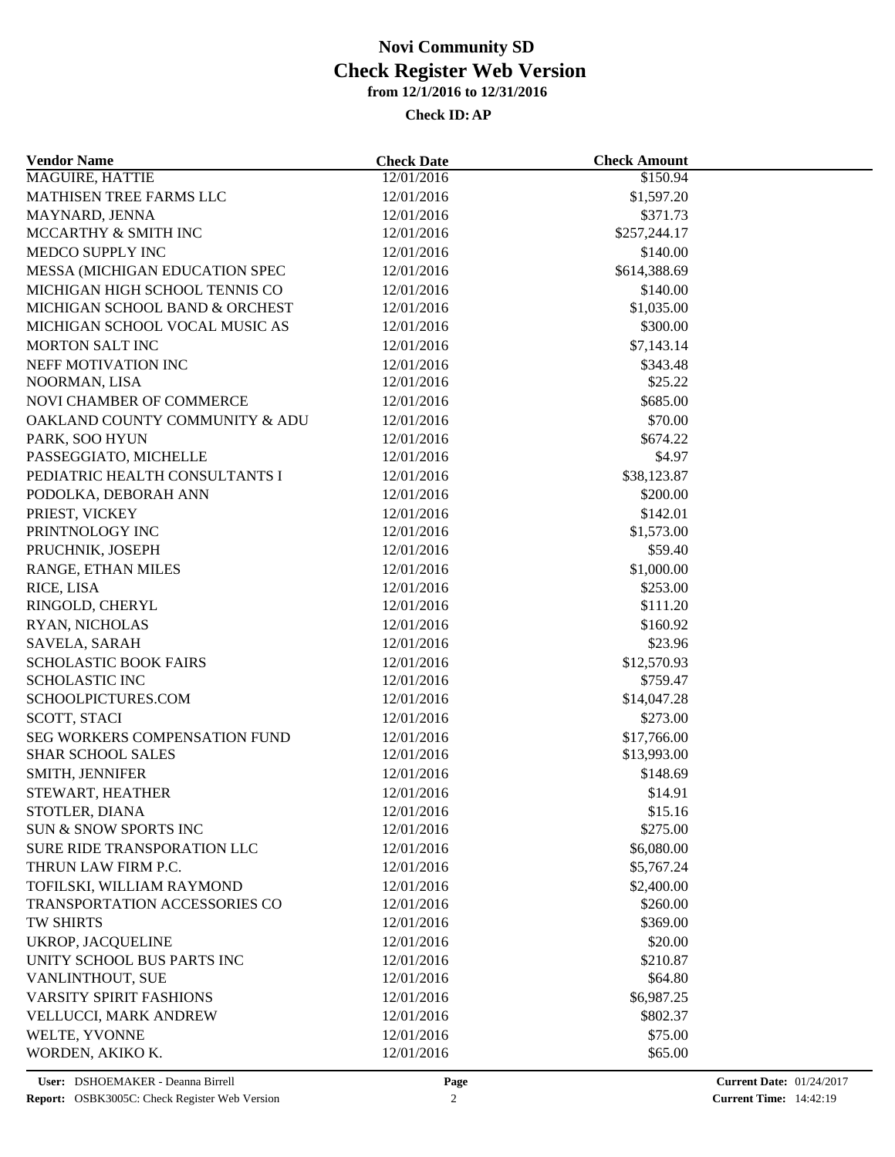| <b>Vendor Name</b>                                                | <b>Check Date</b> | <b>Check Amount</b> |  |
|-------------------------------------------------------------------|-------------------|---------------------|--|
| <b>MAGUIRE, HATTIE</b>                                            | 12/01/2016        | \$150.94            |  |
| MATHISEN TREE FARMS LLC                                           | 12/01/2016        | \$1,597.20          |  |
| MAYNARD, JENNA                                                    | 12/01/2016        | \$371.73            |  |
| MCCARTHY & SMITH INC                                              | 12/01/2016        | \$257,244.17        |  |
| MEDCO SUPPLY INC                                                  | 12/01/2016        | \$140.00            |  |
| MESSA (MICHIGAN EDUCATION SPEC                                    | 12/01/2016        | \$614,388.69        |  |
| MICHIGAN HIGH SCHOOL TENNIS CO                                    | 12/01/2016        | \$140.00            |  |
| MICHIGAN SCHOOL BAND & ORCHEST                                    | 12/01/2016        | \$1,035.00          |  |
| MICHIGAN SCHOOL VOCAL MUSIC AS                                    | 12/01/2016        | \$300.00            |  |
| MORTON SALT INC                                                   | 12/01/2016        | \$7,143.14          |  |
| NEFF MOTIVATION INC                                               | 12/01/2016        | \$343.48            |  |
| NOORMAN, LISA                                                     | 12/01/2016        | \$25.22             |  |
| NOVI CHAMBER OF COMMERCE                                          | 12/01/2016        | \$685.00            |  |
| OAKLAND COUNTY COMMUNITY & ADU                                    | 12/01/2016        | \$70.00             |  |
| PARK, SOO HYUN                                                    | 12/01/2016        | \$674.22            |  |
| PASSEGGIATO, MICHELLE                                             | 12/01/2016        | \$4.97              |  |
| PEDIATRIC HEALTH CONSULTANTS I                                    | 12/01/2016        | \$38,123.87         |  |
| PODOLKA, DEBORAH ANN                                              | 12/01/2016        | \$200.00            |  |
| PRIEST, VICKEY                                                    | 12/01/2016        | \$142.01            |  |
| PRINTNOLOGY INC                                                   | 12/01/2016        | \$1,573.00          |  |
| PRUCHNIK, JOSEPH                                                  | 12/01/2016        | \$59.40             |  |
| RANGE, ETHAN MILES                                                | 12/01/2016        | \$1,000.00          |  |
| RICE, LISA                                                        | 12/01/2016        | \$253.00            |  |
| RINGOLD, CHERYL                                                   | 12/01/2016        | \$111.20            |  |
| RYAN, NICHOLAS                                                    | 12/01/2016        | \$160.92            |  |
| SAVELA, SARAH                                                     | 12/01/2016        | \$23.96             |  |
| <b>SCHOLASTIC BOOK FAIRS</b>                                      | 12/01/2016        | \$12,570.93         |  |
| <b>SCHOLASTIC INC</b>                                             | 12/01/2016        | \$759.47            |  |
| SCHOOLPICTURES.COM                                                | 12/01/2016        | \$14,047.28         |  |
| SCOTT, STACI                                                      | 12/01/2016        | \$273.00            |  |
| SEG WORKERS COMPENSATION FUND                                     | 12/01/2016        | \$17,766.00         |  |
| <b>SHAR SCHOOL SALES</b>                                          | 12/01/2016        | \$13,993.00         |  |
| SMITH, JENNIFER                                                   | 12/01/2016        | \$148.69            |  |
| STEWART, HEATHER                                                  | 12/01/2016        | \$14.91             |  |
| STOTLER, DIANA                                                    | 12/01/2016        | \$15.16             |  |
| <b>SUN &amp; SNOW SPORTS INC</b>                                  | 12/01/2016        | \$275.00            |  |
| SURE RIDE TRANSPORATION LLC                                       | 12/01/2016        | \$6,080.00          |  |
| THRUN LAW FIRM P.C.                                               | 12/01/2016        | \$5,767.24          |  |
|                                                                   | 12/01/2016        | \$2,400.00          |  |
| TOFILSKI, WILLIAM RAYMOND<br><b>TRANSPORTATION ACCESSORIES CO</b> | 12/01/2016        | \$260.00            |  |
| <b>TW SHIRTS</b>                                                  | 12/01/2016        | \$369.00            |  |
|                                                                   |                   |                     |  |
| UKROP, JACQUELINE                                                 | 12/01/2016        | \$20.00             |  |
| UNITY SCHOOL BUS PARTS INC                                        | 12/01/2016        | \$210.87            |  |
| VANLINTHOUT, SUE                                                  | 12/01/2016        | \$64.80             |  |
| <b>VARSITY SPIRIT FASHIONS</b>                                    | 12/01/2016        | \$6,987.25          |  |
| VELLUCCI, MARK ANDREW                                             | 12/01/2016        | \$802.37            |  |
| WELTE, YVONNE                                                     | 12/01/2016        | \$75.00             |  |
| WORDEN, AKIKO K.                                                  | 12/01/2016        | \$65.00             |  |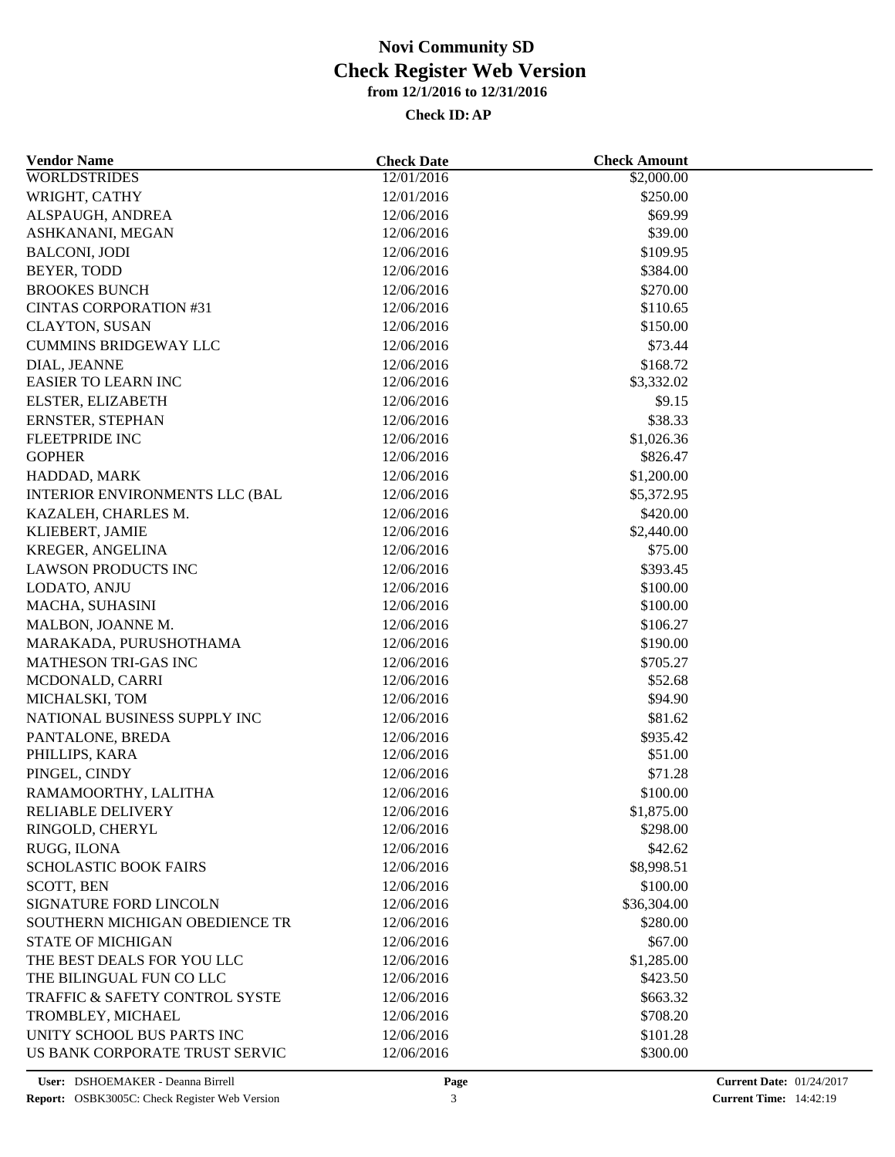| <b>Vendor Name</b>                    | <b>Check Date</b> | <b>Check Amount</b> |  |
|---------------------------------------|-------------------|---------------------|--|
| <b>WORLDSTRIDES</b>                   | 12/01/2016        | \$2,000.00          |  |
| WRIGHT, CATHY                         | 12/01/2016        | \$250.00            |  |
| ALSPAUGH, ANDREA                      | 12/06/2016        | \$69.99             |  |
| ASHKANANI, MEGAN                      | 12/06/2016        | \$39.00             |  |
| <b>BALCONI, JODI</b>                  | 12/06/2016        | \$109.95            |  |
| BEYER, TODD                           | 12/06/2016        | \$384.00            |  |
| <b>BROOKES BUNCH</b>                  | 12/06/2016        | \$270.00            |  |
| <b>CINTAS CORPORATION #31</b>         | 12/06/2016        | \$110.65            |  |
| <b>CLAYTON, SUSAN</b>                 | 12/06/2016        | \$150.00            |  |
| <b>CUMMINS BRIDGEWAY LLC</b>          | 12/06/2016        | \$73.44             |  |
| DIAL, JEANNE                          | 12/06/2016        | \$168.72            |  |
| <b>EASIER TO LEARN INC</b>            | 12/06/2016        | \$3,332.02          |  |
| ELSTER, ELIZABETH                     | 12/06/2016        | \$9.15              |  |
| ERNSTER, STEPHAN                      | 12/06/2016        | \$38.33             |  |
| <b>FLEETPRIDE INC</b>                 | 12/06/2016        | \$1,026.36          |  |
| <b>GOPHER</b>                         | 12/06/2016        | \$826.47            |  |
| HADDAD, MARK                          | 12/06/2016        | \$1,200.00          |  |
| <b>INTERIOR ENVIRONMENTS LLC (BAL</b> | 12/06/2016        | \$5,372.95          |  |
| KAZALEH, CHARLES M.                   | 12/06/2016        | \$420.00            |  |
| KLIEBERT, JAMIE                       | 12/06/2016        | \$2,440.00          |  |
| KREGER, ANGELINA                      | 12/06/2016        | \$75.00             |  |
| <b>LAWSON PRODUCTS INC</b>            | 12/06/2016        | \$393.45            |  |
| LODATO, ANJU                          | 12/06/2016        | \$100.00            |  |
| MACHA, SUHASINI                       | 12/06/2016        | \$100.00            |  |
| MALBON, JOANNE M.                     | 12/06/2016        | \$106.27            |  |
| MARAKADA, PURUSHOTHAMA                | 12/06/2016        | \$190.00            |  |
| <b>MATHESON TRI-GAS INC</b>           | 12/06/2016        | \$705.27            |  |
| MCDONALD, CARRI                       | 12/06/2016        | \$52.68             |  |
| MICHALSKI, TOM                        | 12/06/2016        | \$94.90             |  |
| NATIONAL BUSINESS SUPPLY INC          | 12/06/2016        | \$81.62             |  |
| PANTALONE, BREDA                      | 12/06/2016        | \$935.42            |  |
| PHILLIPS, KARA                        | 12/06/2016        | \$51.00             |  |
| PINGEL, CINDY                         | 12/06/2016        | \$71.28             |  |
| RAMAMOORTHY, LALITHA                  | 12/06/2016        | \$100.00            |  |
| RELIABLE DELIVERY                     | 12/06/2016        | \$1,875.00          |  |
| RINGOLD, CHERYL                       | 12/06/2016        | \$298.00            |  |
| RUGG, ILONA                           | 12/06/2016        | \$42.62             |  |
| <b>SCHOLASTIC BOOK FAIRS</b>          | 12/06/2016        | \$8,998.51          |  |
| <b>SCOTT, BEN</b>                     | 12/06/2016        | \$100.00            |  |
| SIGNATURE FORD LINCOLN                | 12/06/2016        | \$36,304.00         |  |
| SOUTHERN MICHIGAN OBEDIENCE TR        | 12/06/2016        | \$280.00            |  |
| <b>STATE OF MICHIGAN</b>              | 12/06/2016        | \$67.00             |  |
|                                       |                   |                     |  |
| THE BEST DEALS FOR YOU LLC            | 12/06/2016        | \$1,285.00          |  |
| THE BILINGUAL FUN CO LLC              | 12/06/2016        | \$423.50            |  |
| TRAFFIC & SAFETY CONTROL SYSTE        | 12/06/2016        | \$663.32            |  |
| TROMBLEY, MICHAEL                     | 12/06/2016        | \$708.20            |  |
| UNITY SCHOOL BUS PARTS INC            | 12/06/2016        | \$101.28            |  |
| US BANK CORPORATE TRUST SERVIC        | 12/06/2016        | \$300.00            |  |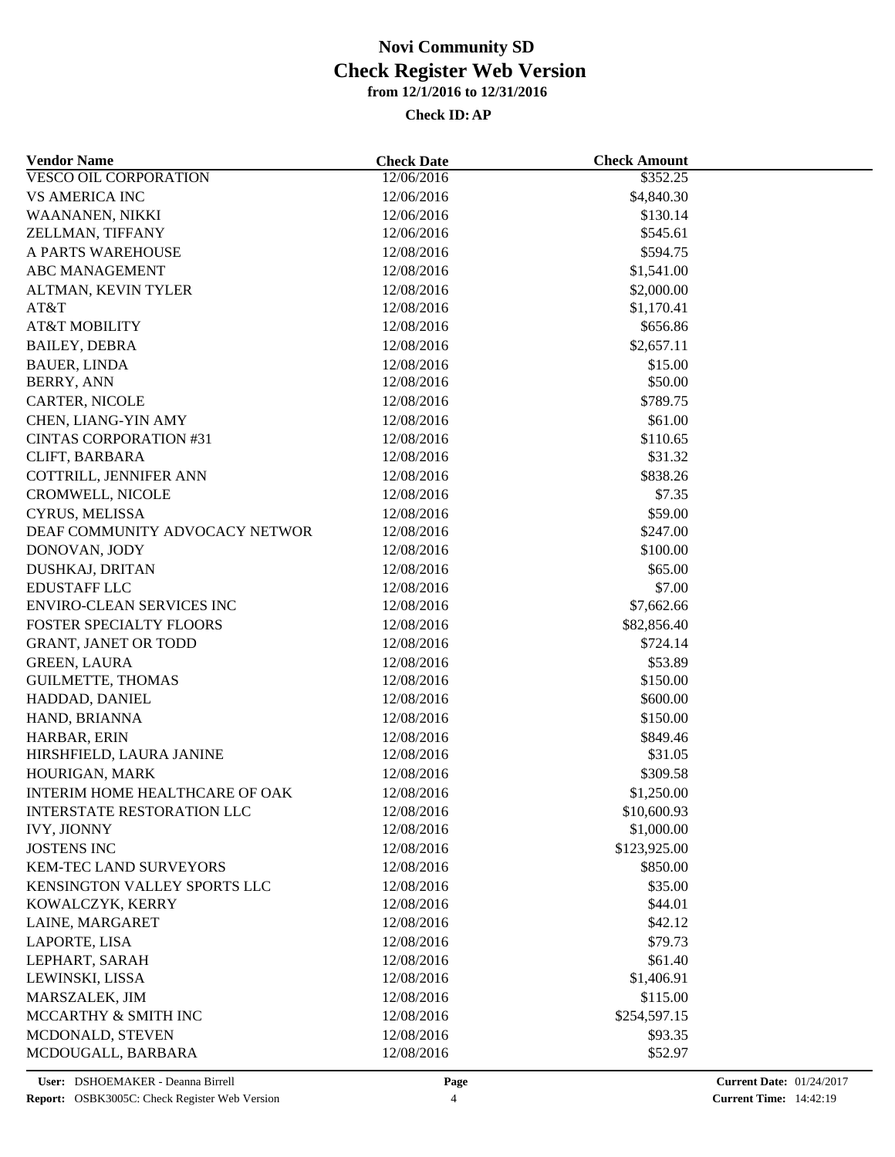| <b>Vendor Name</b>                | <b>Check Date</b>        | <b>Check Amount</b>   |  |
|-----------------------------------|--------------------------|-----------------------|--|
| <b>VESCO OIL CORPORATION</b>      | 12/06/2016               | \$352.25              |  |
| <b>VS AMERICA INC</b>             | 12/06/2016               | \$4,840.30            |  |
| WAANANEN, NIKKI                   | 12/06/2016               | \$130.14              |  |
| ZELLMAN, TIFFANY                  | 12/06/2016               | \$545.61              |  |
| A PARTS WAREHOUSE                 | 12/08/2016               | \$594.75              |  |
| <b>ABC MANAGEMENT</b>             | 12/08/2016               | \$1,541.00            |  |
| ALTMAN, KEVIN TYLER               | 12/08/2016               | \$2,000.00            |  |
| AT&T                              | 12/08/2016               | \$1,170.41            |  |
| <b>AT&amp;T MOBILITY</b>          | 12/08/2016               | \$656.86              |  |
| <b>BAILEY, DEBRA</b>              | 12/08/2016               | \$2,657.11            |  |
| <b>BAUER, LINDA</b>               | 12/08/2016               | \$15.00               |  |
| <b>BERRY, ANN</b>                 | 12/08/2016               | \$50.00               |  |
| CARTER, NICOLE                    | 12/08/2016               | \$789.75              |  |
| CHEN, LIANG-YIN AMY               | 12/08/2016               | \$61.00               |  |
| <b>CINTAS CORPORATION #31</b>     | 12/08/2016               | \$110.65              |  |
| CLIFT, BARBARA                    | 12/08/2016               | \$31.32               |  |
| COTTRILL, JENNIFER ANN            | 12/08/2016               | \$838.26              |  |
| CROMWELL, NICOLE                  | 12/08/2016               | \$7.35                |  |
| CYRUS, MELISSA                    | 12/08/2016               | \$59.00               |  |
| DEAF COMMUNITY ADVOCACY NETWOR    | 12/08/2016               | \$247.00              |  |
| DONOVAN, JODY                     | 12/08/2016               | \$100.00              |  |
| <b>DUSHKAJ, DRITAN</b>            | 12/08/2016               | \$65.00               |  |
| <b>EDUSTAFF LLC</b>               | 12/08/2016               | \$7.00                |  |
| <b>ENVIRO-CLEAN SERVICES INC</b>  | 12/08/2016               | \$7,662.66            |  |
| FOSTER SPECIALTY FLOORS           | 12/08/2016               | \$82,856.40           |  |
| <b>GRANT, JANET OR TODD</b>       | 12/08/2016               | \$724.14              |  |
| <b>GREEN, LAURA</b>               | 12/08/2016               | \$53.89               |  |
| GUILMETTE, THOMAS                 | 12/08/2016               | \$150.00              |  |
| HADDAD, DANIEL                    | 12/08/2016               | \$600.00              |  |
| HAND, BRIANNA                     | 12/08/2016               | \$150.00              |  |
| HARBAR, ERIN                      | 12/08/2016               | \$849.46              |  |
| HIRSHFIELD, LAURA JANINE          | 12/08/2016               | \$31.05               |  |
| HOURIGAN, MARK                    | 12/08/2016               | \$309.58              |  |
| INTERIM HOME HEALTHCARE OF OAK    | 12/08/2016               | \$1,250.00            |  |
| <b>INTERSTATE RESTORATION LLC</b> | 12/08/2016               | \$10,600.93           |  |
| <b>IVY, JIONNY</b>                | 12/08/2016               | \$1,000.00            |  |
| <b>JOSTENS INC</b>                | 12/08/2016               | \$123,925.00          |  |
| KEM-TEC LAND SURVEYORS            | 12/08/2016               | \$850.00              |  |
| KENSINGTON VALLEY SPORTS LLC      | 12/08/2016               | \$35.00               |  |
| KOWALCZYK, KERRY                  | 12/08/2016               | \$44.01               |  |
| LAINE, MARGARET                   | 12/08/2016               | \$42.12               |  |
| LAPORTE, LISA                     | 12/08/2016               | \$79.73               |  |
|                                   |                          |                       |  |
| LEPHART, SARAH<br>LEWINSKI, LISSA | 12/08/2016<br>12/08/2016 | \$61.40<br>\$1,406.91 |  |
|                                   |                          |                       |  |
| MARSZALEK, JIM                    | 12/08/2016               | \$115.00              |  |
| MCCARTHY & SMITH INC              | 12/08/2016               | \$254,597.15          |  |
| MCDONALD, STEVEN                  | 12/08/2016               | \$93.35               |  |
| MCDOUGALL, BARBARA                | 12/08/2016               | \$52.97               |  |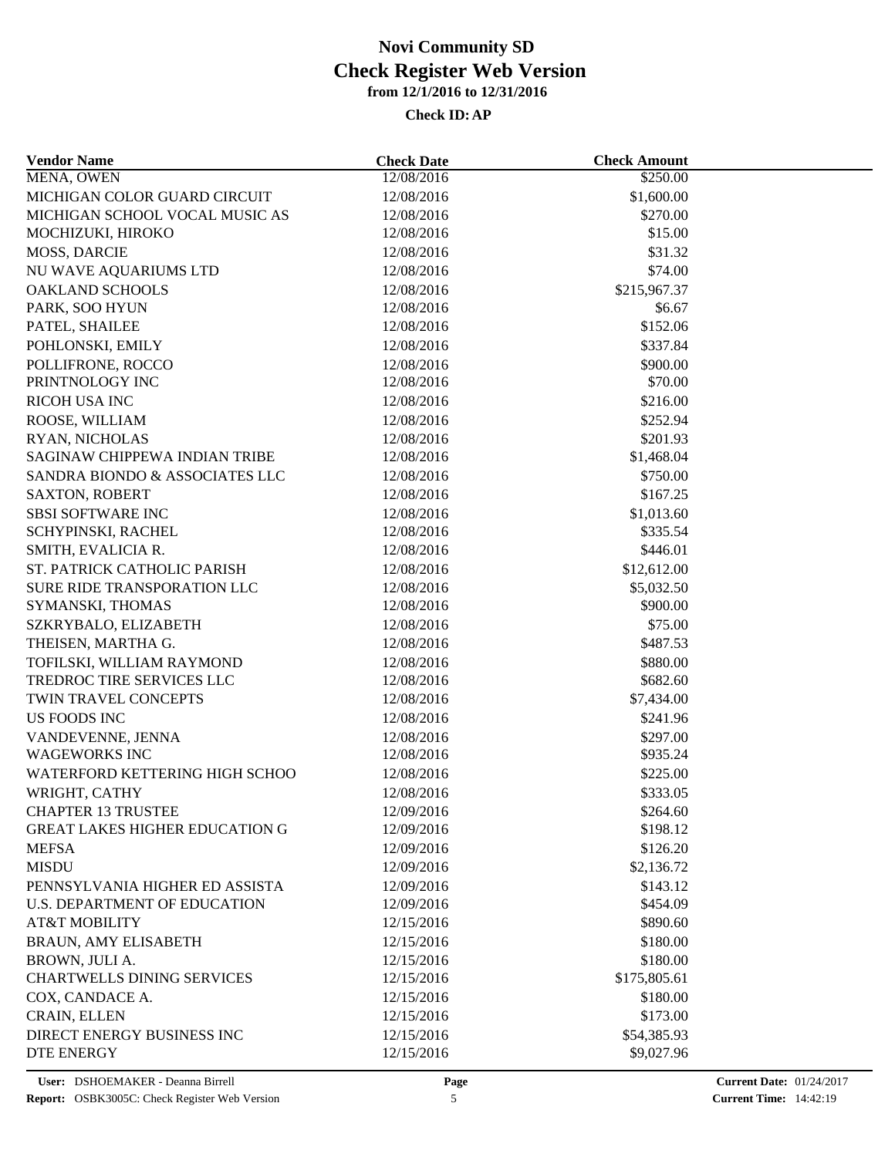| MENA, OWEN<br>12/08/2016<br>\$250.00<br>MICHIGAN COLOR GUARD CIRCUIT<br>12/08/2016<br>\$1,600.00<br>MICHIGAN SCHOOL VOCAL MUSIC AS<br>12/08/2016<br>\$270.00<br>MOCHIZUKI, HIROKO<br>12/08/2016<br>\$15.00<br>MOSS, DARCIE<br>12/08/2016<br>\$31.32<br>NU WAVE AQUARIUMS LTD<br>12/08/2016<br>\$74.00<br><b>OAKLAND SCHOOLS</b><br>12/08/2016<br>\$215,967.37<br>PARK, SOO HYUN<br>12/08/2016<br>\$6.67<br>\$152.06<br>PATEL, SHAILEE<br>12/08/2016<br>POHLONSKI, EMILY<br>\$337.84<br>12/08/2016<br>POLLIFRONE, ROCCO<br>\$900.00<br>12/08/2016<br>PRINTNOLOGY INC<br>12/08/2016<br>\$70.00<br><b>RICOH USA INC</b><br>12/08/2016<br>\$216.00<br>ROOSE, WILLIAM<br>12/08/2016<br>\$252.94<br>12/08/2016<br>\$201.93<br>RYAN, NICHOLAS<br>SAGINAW CHIPPEWA INDIAN TRIBE<br>12/08/2016<br>\$1,468.04<br>SANDRA BIONDO & ASSOCIATES LLC<br>\$750.00<br>12/08/2016<br>\$167.25<br><b>SAXTON, ROBERT</b><br>12/08/2016<br><b>SBSI SOFTWARE INC</b><br>12/08/2016<br>\$1,013.60<br>SCHYPINSKI, RACHEL<br>12/08/2016<br>\$335.54<br>12/08/2016<br>\$446.01<br>SMITH, EVALICIA R.<br>ST. PATRICK CATHOLIC PARISH<br>12/08/2016<br>\$12,612.00<br>SURE RIDE TRANSPORATION LLC<br>12/08/2016<br>\$5,032.50<br>\$900.00<br>SYMANSKI, THOMAS<br>12/08/2016<br>SZKRYBALO, ELIZABETH<br>12/08/2016<br>\$75.00<br>\$487.53<br>THEISEN, MARTHA G.<br>12/08/2016<br>\$880.00<br>TOFILSKI, WILLIAM RAYMOND<br>12/08/2016<br>TREDROC TIRE SERVICES LLC<br>12/08/2016<br>\$682.60<br>TWIN TRAVEL CONCEPTS<br>12/08/2016<br>\$7,434.00<br><b>US FOODS INC</b><br>12/08/2016<br>\$241.96<br>VANDEVENNE, JENNA<br>12/08/2016<br>\$297.00<br><b>WAGEWORKS INC</b><br>12/08/2016<br>\$935.24<br>WATERFORD KETTERING HIGH SCHOO<br>12/08/2016<br>\$225.00<br>WRIGHT, CATHY<br>12/08/2016<br>\$333.05<br><b>CHAPTER 13 TRUSTEE</b><br>\$264.60<br>12/09/2016<br><b>GREAT LAKES HIGHER EDUCATION G</b><br>12/09/2016<br>\$198.12<br><b>MEFSA</b><br>12/09/2016<br>\$126.20<br><b>MISDU</b><br>12/09/2016<br>\$2,136.72<br>PENNSYLVANIA HIGHER ED ASSISTA<br>12/09/2016<br>\$143.12<br>\$454.09<br>U.S. DEPARTMENT OF EDUCATION<br>12/09/2016<br><b>AT&amp;T MOBILITY</b><br>12/15/2016<br>\$890.60<br><b>BRAUN, AMY ELISABETH</b><br>\$180.00<br>12/15/2016<br>BROWN, JULI A.<br>12/15/2016<br>\$180.00<br><b>CHARTWELLS DINING SERVICES</b><br>12/15/2016<br>\$175,805.61<br>COX, CANDACE A.<br>\$180.00<br>12/15/2016<br>\$173.00<br>CRAIN, ELLEN<br>12/15/2016<br>DIRECT ENERGY BUSINESS INC<br>12/15/2016<br>\$54,385.93<br><b>DTE ENERGY</b><br>\$9,027.96<br>12/15/2016 | <b>Vendor Name</b> | <b>Check Date</b> | <b>Check Amount</b> |  |
|----------------------------------------------------------------------------------------------------------------------------------------------------------------------------------------------------------------------------------------------------------------------------------------------------------------------------------------------------------------------------------------------------------------------------------------------------------------------------------------------------------------------------------------------------------------------------------------------------------------------------------------------------------------------------------------------------------------------------------------------------------------------------------------------------------------------------------------------------------------------------------------------------------------------------------------------------------------------------------------------------------------------------------------------------------------------------------------------------------------------------------------------------------------------------------------------------------------------------------------------------------------------------------------------------------------------------------------------------------------------------------------------------------------------------------------------------------------------------------------------------------------------------------------------------------------------------------------------------------------------------------------------------------------------------------------------------------------------------------------------------------------------------------------------------------------------------------------------------------------------------------------------------------------------------------------------------------------------------------------------------------------------------------------------------------------------------------------------------------------------------------------------------------------------------------------------------------------------------------------------------------------------------------------------------------------------------------------------------------------------------------------------------------------------------------------------------------------------------------------------------------------------------------------------------|--------------------|-------------------|---------------------|--|
|                                                                                                                                                                                                                                                                                                                                                                                                                                                                                                                                                                                                                                                                                                                                                                                                                                                                                                                                                                                                                                                                                                                                                                                                                                                                                                                                                                                                                                                                                                                                                                                                                                                                                                                                                                                                                                                                                                                                                                                                                                                                                                                                                                                                                                                                                                                                                                                                                                                                                                                                                    |                    |                   |                     |  |
|                                                                                                                                                                                                                                                                                                                                                                                                                                                                                                                                                                                                                                                                                                                                                                                                                                                                                                                                                                                                                                                                                                                                                                                                                                                                                                                                                                                                                                                                                                                                                                                                                                                                                                                                                                                                                                                                                                                                                                                                                                                                                                                                                                                                                                                                                                                                                                                                                                                                                                                                                    |                    |                   |                     |  |
|                                                                                                                                                                                                                                                                                                                                                                                                                                                                                                                                                                                                                                                                                                                                                                                                                                                                                                                                                                                                                                                                                                                                                                                                                                                                                                                                                                                                                                                                                                                                                                                                                                                                                                                                                                                                                                                                                                                                                                                                                                                                                                                                                                                                                                                                                                                                                                                                                                                                                                                                                    |                    |                   |                     |  |
|                                                                                                                                                                                                                                                                                                                                                                                                                                                                                                                                                                                                                                                                                                                                                                                                                                                                                                                                                                                                                                                                                                                                                                                                                                                                                                                                                                                                                                                                                                                                                                                                                                                                                                                                                                                                                                                                                                                                                                                                                                                                                                                                                                                                                                                                                                                                                                                                                                                                                                                                                    |                    |                   |                     |  |
|                                                                                                                                                                                                                                                                                                                                                                                                                                                                                                                                                                                                                                                                                                                                                                                                                                                                                                                                                                                                                                                                                                                                                                                                                                                                                                                                                                                                                                                                                                                                                                                                                                                                                                                                                                                                                                                                                                                                                                                                                                                                                                                                                                                                                                                                                                                                                                                                                                                                                                                                                    |                    |                   |                     |  |
|                                                                                                                                                                                                                                                                                                                                                                                                                                                                                                                                                                                                                                                                                                                                                                                                                                                                                                                                                                                                                                                                                                                                                                                                                                                                                                                                                                                                                                                                                                                                                                                                                                                                                                                                                                                                                                                                                                                                                                                                                                                                                                                                                                                                                                                                                                                                                                                                                                                                                                                                                    |                    |                   |                     |  |
|                                                                                                                                                                                                                                                                                                                                                                                                                                                                                                                                                                                                                                                                                                                                                                                                                                                                                                                                                                                                                                                                                                                                                                                                                                                                                                                                                                                                                                                                                                                                                                                                                                                                                                                                                                                                                                                                                                                                                                                                                                                                                                                                                                                                                                                                                                                                                                                                                                                                                                                                                    |                    |                   |                     |  |
|                                                                                                                                                                                                                                                                                                                                                                                                                                                                                                                                                                                                                                                                                                                                                                                                                                                                                                                                                                                                                                                                                                                                                                                                                                                                                                                                                                                                                                                                                                                                                                                                                                                                                                                                                                                                                                                                                                                                                                                                                                                                                                                                                                                                                                                                                                                                                                                                                                                                                                                                                    |                    |                   |                     |  |
|                                                                                                                                                                                                                                                                                                                                                                                                                                                                                                                                                                                                                                                                                                                                                                                                                                                                                                                                                                                                                                                                                                                                                                                                                                                                                                                                                                                                                                                                                                                                                                                                                                                                                                                                                                                                                                                                                                                                                                                                                                                                                                                                                                                                                                                                                                                                                                                                                                                                                                                                                    |                    |                   |                     |  |
|                                                                                                                                                                                                                                                                                                                                                                                                                                                                                                                                                                                                                                                                                                                                                                                                                                                                                                                                                                                                                                                                                                                                                                                                                                                                                                                                                                                                                                                                                                                                                                                                                                                                                                                                                                                                                                                                                                                                                                                                                                                                                                                                                                                                                                                                                                                                                                                                                                                                                                                                                    |                    |                   |                     |  |
|                                                                                                                                                                                                                                                                                                                                                                                                                                                                                                                                                                                                                                                                                                                                                                                                                                                                                                                                                                                                                                                                                                                                                                                                                                                                                                                                                                                                                                                                                                                                                                                                                                                                                                                                                                                                                                                                                                                                                                                                                                                                                                                                                                                                                                                                                                                                                                                                                                                                                                                                                    |                    |                   |                     |  |
|                                                                                                                                                                                                                                                                                                                                                                                                                                                                                                                                                                                                                                                                                                                                                                                                                                                                                                                                                                                                                                                                                                                                                                                                                                                                                                                                                                                                                                                                                                                                                                                                                                                                                                                                                                                                                                                                                                                                                                                                                                                                                                                                                                                                                                                                                                                                                                                                                                                                                                                                                    |                    |                   |                     |  |
|                                                                                                                                                                                                                                                                                                                                                                                                                                                                                                                                                                                                                                                                                                                                                                                                                                                                                                                                                                                                                                                                                                                                                                                                                                                                                                                                                                                                                                                                                                                                                                                                                                                                                                                                                                                                                                                                                                                                                                                                                                                                                                                                                                                                                                                                                                                                                                                                                                                                                                                                                    |                    |                   |                     |  |
|                                                                                                                                                                                                                                                                                                                                                                                                                                                                                                                                                                                                                                                                                                                                                                                                                                                                                                                                                                                                                                                                                                                                                                                                                                                                                                                                                                                                                                                                                                                                                                                                                                                                                                                                                                                                                                                                                                                                                                                                                                                                                                                                                                                                                                                                                                                                                                                                                                                                                                                                                    |                    |                   |                     |  |
|                                                                                                                                                                                                                                                                                                                                                                                                                                                                                                                                                                                                                                                                                                                                                                                                                                                                                                                                                                                                                                                                                                                                                                                                                                                                                                                                                                                                                                                                                                                                                                                                                                                                                                                                                                                                                                                                                                                                                                                                                                                                                                                                                                                                                                                                                                                                                                                                                                                                                                                                                    |                    |                   |                     |  |
|                                                                                                                                                                                                                                                                                                                                                                                                                                                                                                                                                                                                                                                                                                                                                                                                                                                                                                                                                                                                                                                                                                                                                                                                                                                                                                                                                                                                                                                                                                                                                                                                                                                                                                                                                                                                                                                                                                                                                                                                                                                                                                                                                                                                                                                                                                                                                                                                                                                                                                                                                    |                    |                   |                     |  |
|                                                                                                                                                                                                                                                                                                                                                                                                                                                                                                                                                                                                                                                                                                                                                                                                                                                                                                                                                                                                                                                                                                                                                                                                                                                                                                                                                                                                                                                                                                                                                                                                                                                                                                                                                                                                                                                                                                                                                                                                                                                                                                                                                                                                                                                                                                                                                                                                                                                                                                                                                    |                    |                   |                     |  |
|                                                                                                                                                                                                                                                                                                                                                                                                                                                                                                                                                                                                                                                                                                                                                                                                                                                                                                                                                                                                                                                                                                                                                                                                                                                                                                                                                                                                                                                                                                                                                                                                                                                                                                                                                                                                                                                                                                                                                                                                                                                                                                                                                                                                                                                                                                                                                                                                                                                                                                                                                    |                    |                   |                     |  |
|                                                                                                                                                                                                                                                                                                                                                                                                                                                                                                                                                                                                                                                                                                                                                                                                                                                                                                                                                                                                                                                                                                                                                                                                                                                                                                                                                                                                                                                                                                                                                                                                                                                                                                                                                                                                                                                                                                                                                                                                                                                                                                                                                                                                                                                                                                                                                                                                                                                                                                                                                    |                    |                   |                     |  |
|                                                                                                                                                                                                                                                                                                                                                                                                                                                                                                                                                                                                                                                                                                                                                                                                                                                                                                                                                                                                                                                                                                                                                                                                                                                                                                                                                                                                                                                                                                                                                                                                                                                                                                                                                                                                                                                                                                                                                                                                                                                                                                                                                                                                                                                                                                                                                                                                                                                                                                                                                    |                    |                   |                     |  |
|                                                                                                                                                                                                                                                                                                                                                                                                                                                                                                                                                                                                                                                                                                                                                                                                                                                                                                                                                                                                                                                                                                                                                                                                                                                                                                                                                                                                                                                                                                                                                                                                                                                                                                                                                                                                                                                                                                                                                                                                                                                                                                                                                                                                                                                                                                                                                                                                                                                                                                                                                    |                    |                   |                     |  |
|                                                                                                                                                                                                                                                                                                                                                                                                                                                                                                                                                                                                                                                                                                                                                                                                                                                                                                                                                                                                                                                                                                                                                                                                                                                                                                                                                                                                                                                                                                                                                                                                                                                                                                                                                                                                                                                                                                                                                                                                                                                                                                                                                                                                                                                                                                                                                                                                                                                                                                                                                    |                    |                   |                     |  |
|                                                                                                                                                                                                                                                                                                                                                                                                                                                                                                                                                                                                                                                                                                                                                                                                                                                                                                                                                                                                                                                                                                                                                                                                                                                                                                                                                                                                                                                                                                                                                                                                                                                                                                                                                                                                                                                                                                                                                                                                                                                                                                                                                                                                                                                                                                                                                                                                                                                                                                                                                    |                    |                   |                     |  |
|                                                                                                                                                                                                                                                                                                                                                                                                                                                                                                                                                                                                                                                                                                                                                                                                                                                                                                                                                                                                                                                                                                                                                                                                                                                                                                                                                                                                                                                                                                                                                                                                                                                                                                                                                                                                                                                                                                                                                                                                                                                                                                                                                                                                                                                                                                                                                                                                                                                                                                                                                    |                    |                   |                     |  |
|                                                                                                                                                                                                                                                                                                                                                                                                                                                                                                                                                                                                                                                                                                                                                                                                                                                                                                                                                                                                                                                                                                                                                                                                                                                                                                                                                                                                                                                                                                                                                                                                                                                                                                                                                                                                                                                                                                                                                                                                                                                                                                                                                                                                                                                                                                                                                                                                                                                                                                                                                    |                    |                   |                     |  |
|                                                                                                                                                                                                                                                                                                                                                                                                                                                                                                                                                                                                                                                                                                                                                                                                                                                                                                                                                                                                                                                                                                                                                                                                                                                                                                                                                                                                                                                                                                                                                                                                                                                                                                                                                                                                                                                                                                                                                                                                                                                                                                                                                                                                                                                                                                                                                                                                                                                                                                                                                    |                    |                   |                     |  |
|                                                                                                                                                                                                                                                                                                                                                                                                                                                                                                                                                                                                                                                                                                                                                                                                                                                                                                                                                                                                                                                                                                                                                                                                                                                                                                                                                                                                                                                                                                                                                                                                                                                                                                                                                                                                                                                                                                                                                                                                                                                                                                                                                                                                                                                                                                                                                                                                                                                                                                                                                    |                    |                   |                     |  |
|                                                                                                                                                                                                                                                                                                                                                                                                                                                                                                                                                                                                                                                                                                                                                                                                                                                                                                                                                                                                                                                                                                                                                                                                                                                                                                                                                                                                                                                                                                                                                                                                                                                                                                                                                                                                                                                                                                                                                                                                                                                                                                                                                                                                                                                                                                                                                                                                                                                                                                                                                    |                    |                   |                     |  |
|                                                                                                                                                                                                                                                                                                                                                                                                                                                                                                                                                                                                                                                                                                                                                                                                                                                                                                                                                                                                                                                                                                                                                                                                                                                                                                                                                                                                                                                                                                                                                                                                                                                                                                                                                                                                                                                                                                                                                                                                                                                                                                                                                                                                                                                                                                                                                                                                                                                                                                                                                    |                    |                   |                     |  |
|                                                                                                                                                                                                                                                                                                                                                                                                                                                                                                                                                                                                                                                                                                                                                                                                                                                                                                                                                                                                                                                                                                                                                                                                                                                                                                                                                                                                                                                                                                                                                                                                                                                                                                                                                                                                                                                                                                                                                                                                                                                                                                                                                                                                                                                                                                                                                                                                                                                                                                                                                    |                    |                   |                     |  |
|                                                                                                                                                                                                                                                                                                                                                                                                                                                                                                                                                                                                                                                                                                                                                                                                                                                                                                                                                                                                                                                                                                                                                                                                                                                                                                                                                                                                                                                                                                                                                                                                                                                                                                                                                                                                                                                                                                                                                                                                                                                                                                                                                                                                                                                                                                                                                                                                                                                                                                                                                    |                    |                   |                     |  |
|                                                                                                                                                                                                                                                                                                                                                                                                                                                                                                                                                                                                                                                                                                                                                                                                                                                                                                                                                                                                                                                                                                                                                                                                                                                                                                                                                                                                                                                                                                                                                                                                                                                                                                                                                                                                                                                                                                                                                                                                                                                                                                                                                                                                                                                                                                                                                                                                                                                                                                                                                    |                    |                   |                     |  |
|                                                                                                                                                                                                                                                                                                                                                                                                                                                                                                                                                                                                                                                                                                                                                                                                                                                                                                                                                                                                                                                                                                                                                                                                                                                                                                                                                                                                                                                                                                                                                                                                                                                                                                                                                                                                                                                                                                                                                                                                                                                                                                                                                                                                                                                                                                                                                                                                                                                                                                                                                    |                    |                   |                     |  |
|                                                                                                                                                                                                                                                                                                                                                                                                                                                                                                                                                                                                                                                                                                                                                                                                                                                                                                                                                                                                                                                                                                                                                                                                                                                                                                                                                                                                                                                                                                                                                                                                                                                                                                                                                                                                                                                                                                                                                                                                                                                                                                                                                                                                                                                                                                                                                                                                                                                                                                                                                    |                    |                   |                     |  |
|                                                                                                                                                                                                                                                                                                                                                                                                                                                                                                                                                                                                                                                                                                                                                                                                                                                                                                                                                                                                                                                                                                                                                                                                                                                                                                                                                                                                                                                                                                                                                                                                                                                                                                                                                                                                                                                                                                                                                                                                                                                                                                                                                                                                                                                                                                                                                                                                                                                                                                                                                    |                    |                   |                     |  |
|                                                                                                                                                                                                                                                                                                                                                                                                                                                                                                                                                                                                                                                                                                                                                                                                                                                                                                                                                                                                                                                                                                                                                                                                                                                                                                                                                                                                                                                                                                                                                                                                                                                                                                                                                                                                                                                                                                                                                                                                                                                                                                                                                                                                                                                                                                                                                                                                                                                                                                                                                    |                    |                   |                     |  |
|                                                                                                                                                                                                                                                                                                                                                                                                                                                                                                                                                                                                                                                                                                                                                                                                                                                                                                                                                                                                                                                                                                                                                                                                                                                                                                                                                                                                                                                                                                                                                                                                                                                                                                                                                                                                                                                                                                                                                                                                                                                                                                                                                                                                                                                                                                                                                                                                                                                                                                                                                    |                    |                   |                     |  |
|                                                                                                                                                                                                                                                                                                                                                                                                                                                                                                                                                                                                                                                                                                                                                                                                                                                                                                                                                                                                                                                                                                                                                                                                                                                                                                                                                                                                                                                                                                                                                                                                                                                                                                                                                                                                                                                                                                                                                                                                                                                                                                                                                                                                                                                                                                                                                                                                                                                                                                                                                    |                    |                   |                     |  |
|                                                                                                                                                                                                                                                                                                                                                                                                                                                                                                                                                                                                                                                                                                                                                                                                                                                                                                                                                                                                                                                                                                                                                                                                                                                                                                                                                                                                                                                                                                                                                                                                                                                                                                                                                                                                                                                                                                                                                                                                                                                                                                                                                                                                                                                                                                                                                                                                                                                                                                                                                    |                    |                   |                     |  |
|                                                                                                                                                                                                                                                                                                                                                                                                                                                                                                                                                                                                                                                                                                                                                                                                                                                                                                                                                                                                                                                                                                                                                                                                                                                                                                                                                                                                                                                                                                                                                                                                                                                                                                                                                                                                                                                                                                                                                                                                                                                                                                                                                                                                                                                                                                                                                                                                                                                                                                                                                    |                    |                   |                     |  |
|                                                                                                                                                                                                                                                                                                                                                                                                                                                                                                                                                                                                                                                                                                                                                                                                                                                                                                                                                                                                                                                                                                                                                                                                                                                                                                                                                                                                                                                                                                                                                                                                                                                                                                                                                                                                                                                                                                                                                                                                                                                                                                                                                                                                                                                                                                                                                                                                                                                                                                                                                    |                    |                   |                     |  |
|                                                                                                                                                                                                                                                                                                                                                                                                                                                                                                                                                                                                                                                                                                                                                                                                                                                                                                                                                                                                                                                                                                                                                                                                                                                                                                                                                                                                                                                                                                                                                                                                                                                                                                                                                                                                                                                                                                                                                                                                                                                                                                                                                                                                                                                                                                                                                                                                                                                                                                                                                    |                    |                   |                     |  |
|                                                                                                                                                                                                                                                                                                                                                                                                                                                                                                                                                                                                                                                                                                                                                                                                                                                                                                                                                                                                                                                                                                                                                                                                                                                                                                                                                                                                                                                                                                                                                                                                                                                                                                                                                                                                                                                                                                                                                                                                                                                                                                                                                                                                                                                                                                                                                                                                                                                                                                                                                    |                    |                   |                     |  |
|                                                                                                                                                                                                                                                                                                                                                                                                                                                                                                                                                                                                                                                                                                                                                                                                                                                                                                                                                                                                                                                                                                                                                                                                                                                                                                                                                                                                                                                                                                                                                                                                                                                                                                                                                                                                                                                                                                                                                                                                                                                                                                                                                                                                                                                                                                                                                                                                                                                                                                                                                    |                    |                   |                     |  |
|                                                                                                                                                                                                                                                                                                                                                                                                                                                                                                                                                                                                                                                                                                                                                                                                                                                                                                                                                                                                                                                                                                                                                                                                                                                                                                                                                                                                                                                                                                                                                                                                                                                                                                                                                                                                                                                                                                                                                                                                                                                                                                                                                                                                                                                                                                                                                                                                                                                                                                                                                    |                    |                   |                     |  |
|                                                                                                                                                                                                                                                                                                                                                                                                                                                                                                                                                                                                                                                                                                                                                                                                                                                                                                                                                                                                                                                                                                                                                                                                                                                                                                                                                                                                                                                                                                                                                                                                                                                                                                                                                                                                                                                                                                                                                                                                                                                                                                                                                                                                                                                                                                                                                                                                                                                                                                                                                    |                    |                   |                     |  |
|                                                                                                                                                                                                                                                                                                                                                                                                                                                                                                                                                                                                                                                                                                                                                                                                                                                                                                                                                                                                                                                                                                                                                                                                                                                                                                                                                                                                                                                                                                                                                                                                                                                                                                                                                                                                                                                                                                                                                                                                                                                                                                                                                                                                                                                                                                                                                                                                                                                                                                                                                    |                    |                   |                     |  |
|                                                                                                                                                                                                                                                                                                                                                                                                                                                                                                                                                                                                                                                                                                                                                                                                                                                                                                                                                                                                                                                                                                                                                                                                                                                                                                                                                                                                                                                                                                                                                                                                                                                                                                                                                                                                                                                                                                                                                                                                                                                                                                                                                                                                                                                                                                                                                                                                                                                                                                                                                    |                    |                   |                     |  |
|                                                                                                                                                                                                                                                                                                                                                                                                                                                                                                                                                                                                                                                                                                                                                                                                                                                                                                                                                                                                                                                                                                                                                                                                                                                                                                                                                                                                                                                                                                                                                                                                                                                                                                                                                                                                                                                                                                                                                                                                                                                                                                                                                                                                                                                                                                                                                                                                                                                                                                                                                    |                    |                   |                     |  |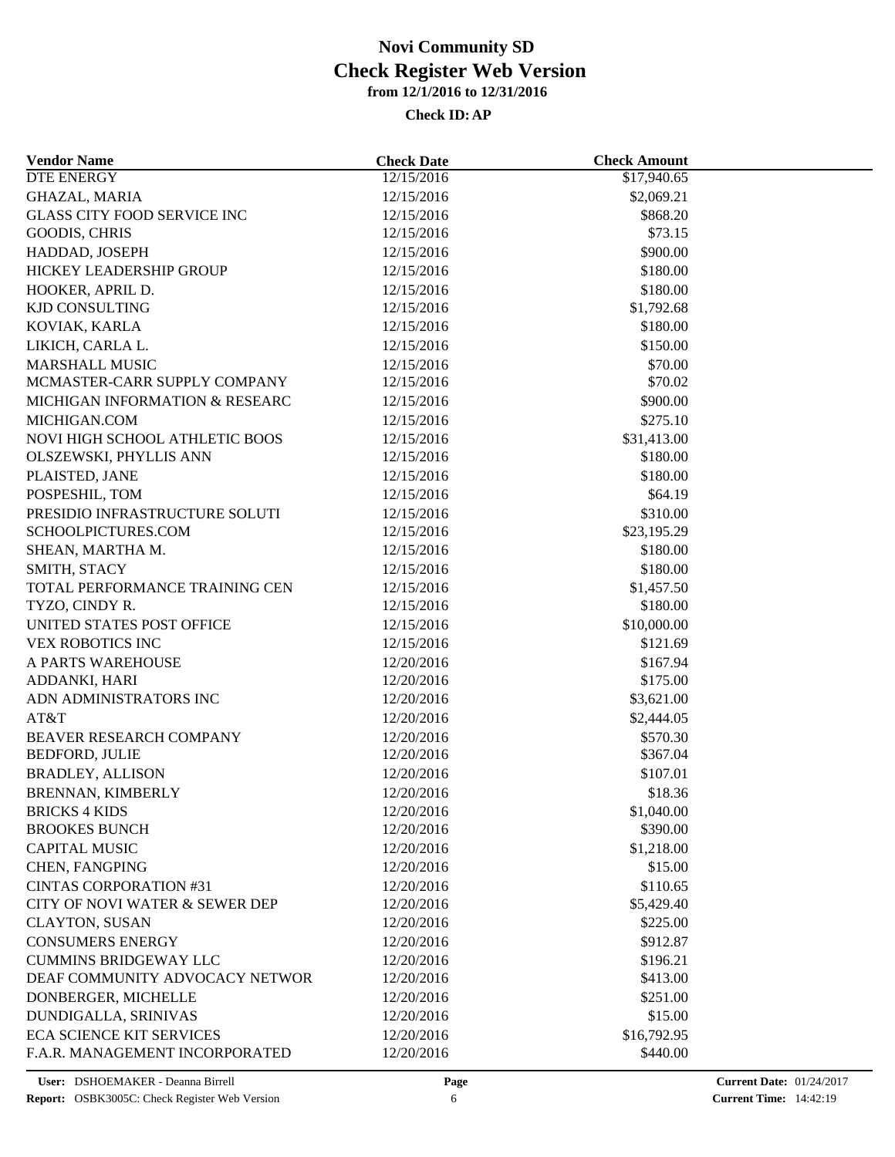| <b>Vendor Name</b>                 | <b>Check Date</b> | <b>Check Amount</b> |  |
|------------------------------------|-------------------|---------------------|--|
| <b>DTE ENERGY</b>                  | 12/15/2016        | \$17,940.65         |  |
| <b>GHAZAL, MARIA</b>               | 12/15/2016        | \$2,069.21          |  |
| <b>GLASS CITY FOOD SERVICE INC</b> | 12/15/2016        | \$868.20            |  |
| GOODIS, CHRIS                      | 12/15/2016        | \$73.15             |  |
| HADDAD, JOSEPH                     | 12/15/2016        | \$900.00            |  |
| HICKEY LEADERSHIP GROUP            | 12/15/2016        | \$180.00            |  |
| HOOKER, APRIL D.                   | 12/15/2016        | \$180.00            |  |
| <b>KJD CONSULTING</b>              | 12/15/2016        | \$1,792.68          |  |
| KOVIAK, KARLA                      | 12/15/2016        | \$180.00            |  |
| LIKICH, CARLA L.                   | 12/15/2016        | \$150.00            |  |
| <b>MARSHALL MUSIC</b>              | 12/15/2016        | \$70.00             |  |
| MCMASTER-CARR SUPPLY COMPANY       | 12/15/2016        | \$70.02             |  |
| MICHIGAN INFORMATION & RESEARC     | 12/15/2016        | \$900.00            |  |
| MICHIGAN.COM                       | 12/15/2016        | \$275.10            |  |
| NOVI HIGH SCHOOL ATHLETIC BOOS     | 12/15/2016        | \$31,413.00         |  |
| OLSZEWSKI, PHYLLIS ANN             | 12/15/2016        | \$180.00            |  |
| PLAISTED, JANE                     | 12/15/2016        | \$180.00            |  |
| POSPESHIL, TOM                     | 12/15/2016        | \$64.19             |  |
| PRESIDIO INFRASTRUCTURE SOLUTI     | 12/15/2016        | \$310.00            |  |
| SCHOOLPICTURES.COM                 | 12/15/2016        | \$23,195.29         |  |
| SHEAN, MARTHA M.                   | 12/15/2016        | \$180.00            |  |
|                                    |                   |                     |  |
| SMITH, STACY                       | 12/15/2016        | \$180.00            |  |
| TOTAL PERFORMANCE TRAINING CEN     | 12/15/2016        | \$1,457.50          |  |
| TYZO, CINDY R.                     | 12/15/2016        | \$180.00            |  |
| UNITED STATES POST OFFICE          | 12/15/2016        | \$10,000.00         |  |
| <b>VEX ROBOTICS INC</b>            | 12/15/2016        | \$121.69            |  |
| A PARTS WAREHOUSE                  | 12/20/2016        | \$167.94            |  |
| ADDANKI, HARI                      | 12/20/2016        | \$175.00            |  |
| ADN ADMINISTRATORS INC             | 12/20/2016        | \$3,621.00          |  |
| AT&T                               | 12/20/2016        | \$2,444.05          |  |
| BEAVER RESEARCH COMPANY            | 12/20/2016        | \$570.30            |  |
| <b>BEDFORD, JULIE</b>              | 12/20/2016        | \$367.04            |  |
| <b>BRADLEY, ALLISON</b>            | 12/20/2016        | \$107.01            |  |
| BRENNAN, KIMBERLY                  | 12/20/2016        | \$18.36             |  |
| <b>BRICKS 4 KIDS</b>               | 12/20/2016        | \$1,040.00          |  |
| <b>BROOKES BUNCH</b>               | 12/20/2016        | \$390.00            |  |
| <b>CAPITAL MUSIC</b>               | 12/20/2016        | \$1,218.00          |  |
| CHEN, FANGPING                     | 12/20/2016        | \$15.00             |  |
| <b>CINTAS CORPORATION #31</b>      | 12/20/2016        | \$110.65            |  |
| CITY OF NOVI WATER & SEWER DEP     | 12/20/2016        | \$5,429.40          |  |
| <b>CLAYTON, SUSAN</b>              | 12/20/2016        | \$225.00            |  |
| <b>CONSUMERS ENERGY</b>            | 12/20/2016        | \$912.87            |  |
| <b>CUMMINS BRIDGEWAY LLC</b>       | 12/20/2016        | \$196.21            |  |
| DEAF COMMUNITY ADVOCACY NETWOR     | 12/20/2016        | \$413.00            |  |
| DONBERGER, MICHELLE                | 12/20/2016        | \$251.00            |  |
| DUNDIGALLA, SRINIVAS               | 12/20/2016        | \$15.00             |  |
| <b>ECA SCIENCE KIT SERVICES</b>    | 12/20/2016        | \$16,792.95         |  |
| F.A.R. MANAGEMENT INCORPORATED     | 12/20/2016        | \$440.00            |  |
|                                    |                   |                     |  |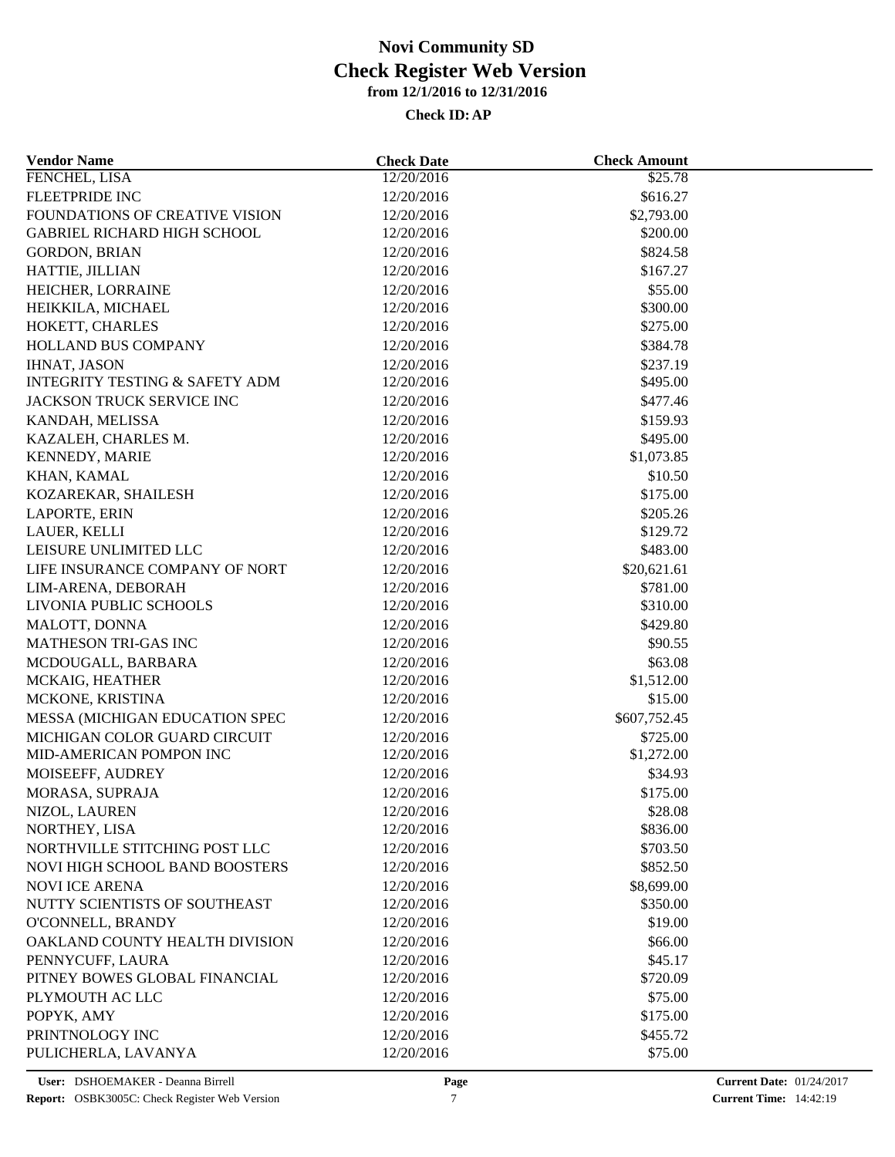| <b>Vendor Name</b>                        | <b>Check Date</b>        | <b>Check Amount</b>    |  |
|-------------------------------------------|--------------------------|------------------------|--|
| FENCHEL, LISA                             | 12/20/2016               | \$25.78                |  |
| FLEETPRIDE INC                            | 12/20/2016               | \$616.27               |  |
| FOUNDATIONS OF CREATIVE VISION            | 12/20/2016               | \$2,793.00             |  |
| <b>GABRIEL RICHARD HIGH SCHOOL</b>        | 12/20/2016               | \$200.00               |  |
| <b>GORDON, BRIAN</b>                      | 12/20/2016               | \$824.58               |  |
| HATTIE, JILLIAN                           | 12/20/2016               | \$167.27               |  |
| HEICHER, LORRAINE                         | 12/20/2016               | \$55.00                |  |
| HEIKKILA, MICHAEL                         | 12/20/2016               | \$300.00               |  |
| HOKETT, CHARLES                           | 12/20/2016               | \$275.00               |  |
| HOLLAND BUS COMPANY                       | 12/20/2016               | \$384.78               |  |
| <b>IHNAT, JASON</b>                       | 12/20/2016               | \$237.19               |  |
| <b>INTEGRITY TESTING &amp; SAFETY ADM</b> | 12/20/2016               | \$495.00               |  |
| JACKSON TRUCK SERVICE INC                 | 12/20/2016               | \$477.46               |  |
| KANDAH, MELISSA                           | 12/20/2016               | \$159.93               |  |
| KAZALEH, CHARLES M.                       | 12/20/2016               | \$495.00               |  |
| KENNEDY, MARIE                            | 12/20/2016               | \$1,073.85             |  |
| KHAN, KAMAL                               | 12/20/2016               | \$10.50                |  |
| KOZAREKAR, SHAILESH                       | 12/20/2016               | \$175.00               |  |
| LAPORTE, ERIN                             | 12/20/2016               | \$205.26               |  |
| LAUER, KELLI                              | 12/20/2016               | \$129.72               |  |
| LEISURE UNLIMITED LLC                     | 12/20/2016               | \$483.00               |  |
| LIFE INSURANCE COMPANY OF NORT            | 12/20/2016               | \$20,621.61            |  |
| LIM-ARENA, DEBORAH                        | 12/20/2016               | \$781.00               |  |
| LIVONIA PUBLIC SCHOOLS                    | 12/20/2016               | \$310.00               |  |
| MALOTT, DONNA                             | 12/20/2016               | \$429.80               |  |
| MATHESON TRI-GAS INC                      | 12/20/2016               | \$90.55                |  |
| MCDOUGALL, BARBARA                        | 12/20/2016               | \$63.08                |  |
| MCKAIG, HEATHER                           | 12/20/2016               | \$1,512.00             |  |
| MCKONE, KRISTINA                          | 12/20/2016               | \$15.00                |  |
| MESSA (MICHIGAN EDUCATION SPEC            | 12/20/2016               | \$607,752.45           |  |
| MICHIGAN COLOR GUARD CIRCUIT              | 12/20/2016               | \$725.00               |  |
| MID-AMERICAN POMPON INC                   | 12/20/2016               | \$1,272.00             |  |
| MOISEEFF, AUDREY                          | 12/20/2016               | \$34.93                |  |
| MORASA, SUPRAJA                           | 12/20/2016               | \$175.00               |  |
| NIZOL, LAUREN                             | 12/20/2016               | \$28.08                |  |
| NORTHEY, LISA                             | 12/20/2016               | \$836.00               |  |
| NORTHVILLE STITCHING POST LLC             | 12/20/2016               | \$703.50               |  |
| NOVI HIGH SCHOOL BAND BOOSTERS            | 12/20/2016               | \$852.50               |  |
| <b>NOVI ICE ARENA</b>                     |                          |                        |  |
| NUTTY SCIENTISTS OF SOUTHEAST             | 12/20/2016<br>12/20/2016 | \$8,699.00<br>\$350.00 |  |
| O'CONNELL, BRANDY                         | 12/20/2016               | \$19.00                |  |
|                                           |                          |                        |  |
| OAKLAND COUNTY HEALTH DIVISION            | 12/20/2016               | \$66.00                |  |
| PENNYCUFF, LAURA                          | 12/20/2016               | \$45.17                |  |
| PITNEY BOWES GLOBAL FINANCIAL             | 12/20/2016               | \$720.09               |  |
| PLYMOUTH AC LLC                           | 12/20/2016               | \$75.00                |  |
| POPYK, AMY                                | 12/20/2016               | \$175.00               |  |
| PRINTNOLOGY INC                           | 12/20/2016               | \$455.72               |  |
| PULICHERLA, LAVANYA                       | 12/20/2016               | \$75.00                |  |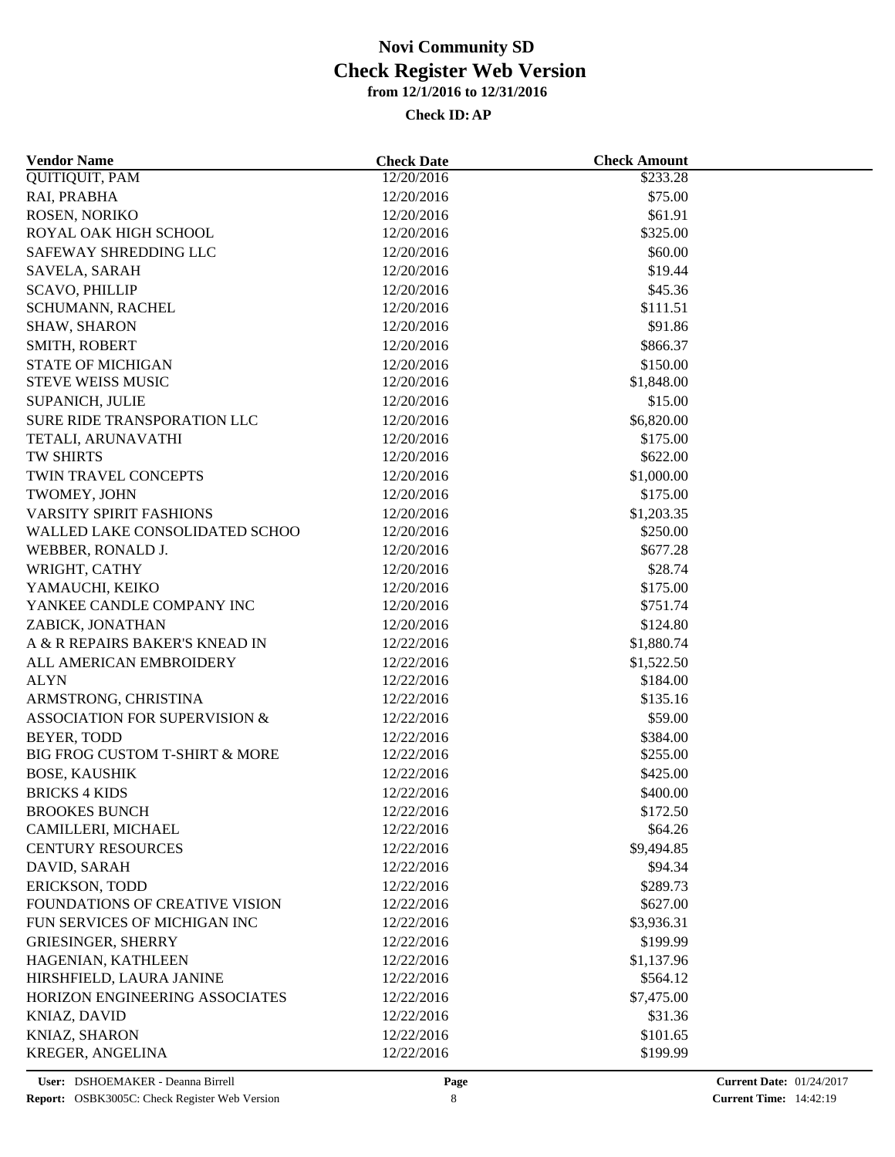| <b>Vendor Name</b>             | <b>Check Date</b>        | <b>Check Amount</b> |  |
|--------------------------------|--------------------------|---------------------|--|
| <b>QUITIQUIT, PAM</b>          | 12/20/2016               | \$233.28            |  |
| RAI, PRABHA                    | 12/20/2016               | \$75.00             |  |
| ROSEN, NORIKO                  | 12/20/2016               | \$61.91             |  |
| ROYAL OAK HIGH SCHOOL          | 12/20/2016               | \$325.00            |  |
| SAFEWAY SHREDDING LLC          | 12/20/2016               | \$60.00             |  |
| SAVELA, SARAH                  | 12/20/2016               | \$19.44             |  |
| <b>SCAVO, PHILLIP</b>          | 12/20/2016               | \$45.36             |  |
| SCHUMANN, RACHEL               | 12/20/2016               | \$111.51            |  |
| SHAW, SHARON                   | 12/20/2016               | \$91.86             |  |
| SMITH, ROBERT                  | 12/20/2016               | \$866.37            |  |
| <b>STATE OF MICHIGAN</b>       | 12/20/2016               | \$150.00            |  |
| <b>STEVE WEISS MUSIC</b>       | 12/20/2016               | \$1,848.00          |  |
| SUPANICH, JULIE                | 12/20/2016               | \$15.00             |  |
| SURE RIDE TRANSPORATION LLC    | 12/20/2016               | \$6,820.00          |  |
| TETALI, ARUNAVATHI             | 12/20/2016               | \$175.00            |  |
| <b>TW SHIRTS</b>               | 12/20/2016               | \$622.00            |  |
| TWIN TRAVEL CONCEPTS           | 12/20/2016               | \$1,000.00          |  |
| TWOMEY, JOHN                   | 12/20/2016               | \$175.00            |  |
| <b>VARSITY SPIRIT FASHIONS</b> | 12/20/2016               | \$1,203.35          |  |
| WALLED LAKE CONSOLIDATED SCHOO | 12/20/2016               | \$250.00            |  |
| WEBBER, RONALD J.              | 12/20/2016               | \$677.28            |  |
| WRIGHT, CATHY                  | 12/20/2016               | \$28.74             |  |
| YAMAUCHI, KEIKO                | 12/20/2016               | \$175.00            |  |
| YANKEE CANDLE COMPANY INC      | 12/20/2016               | \$751.74            |  |
| ZABICK, JONATHAN               | 12/20/2016               | \$124.80            |  |
| A & R REPAIRS BAKER'S KNEAD IN | 12/22/2016               | \$1,880.74          |  |
| ALL AMERICAN EMBROIDERY        | 12/22/2016               | \$1,522.50          |  |
| <b>ALYN</b>                    | 12/22/2016               | \$184.00            |  |
| ARMSTRONG, CHRISTINA           | 12/22/2016               | \$135.16            |  |
| ASSOCIATION FOR SUPERVISION &  |                          |                     |  |
| <b>BEYER, TODD</b>             | 12/22/2016               | \$59.00             |  |
| BIG FROG CUSTOM T-SHIRT & MORE | 12/22/2016<br>12/22/2016 | \$384.00            |  |
|                                |                          | \$255.00            |  |
| <b>BOSE, KAUSHIK</b>           | 12/22/2016               | \$425.00            |  |
| <b>BRICKS 4 KIDS</b>           | 12/22/2016               | \$400.00            |  |
| <b>BROOKES BUNCH</b>           | 12/22/2016               | \$172.50            |  |
| CAMILLERI, MICHAEL             | 12/22/2016               | \$64.26             |  |
| <b>CENTURY RESOURCES</b>       | 12/22/2016               | \$9,494.85          |  |
| DAVID, SARAH                   | 12/22/2016               | \$94.34             |  |
| ERICKSON, TODD                 | 12/22/2016               | \$289.73            |  |
| FOUNDATIONS OF CREATIVE VISION | 12/22/2016               | \$627.00            |  |
| FUN SERVICES OF MICHIGAN INC   | 12/22/2016               | \$3,936.31          |  |
| <b>GRIESINGER, SHERRY</b>      | 12/22/2016               | \$199.99            |  |
| HAGENIAN, KATHLEEN             | 12/22/2016               | \$1,137.96          |  |
| HIRSHFIELD, LAURA JANINE       | 12/22/2016               | \$564.12            |  |
| HORIZON ENGINEERING ASSOCIATES | 12/22/2016               | \$7,475.00          |  |
| KNIAZ, DAVID                   | 12/22/2016               | \$31.36             |  |
| KNIAZ, SHARON                  | 12/22/2016               | \$101.65            |  |
| KREGER, ANGELINA               | 12/22/2016               | \$199.99            |  |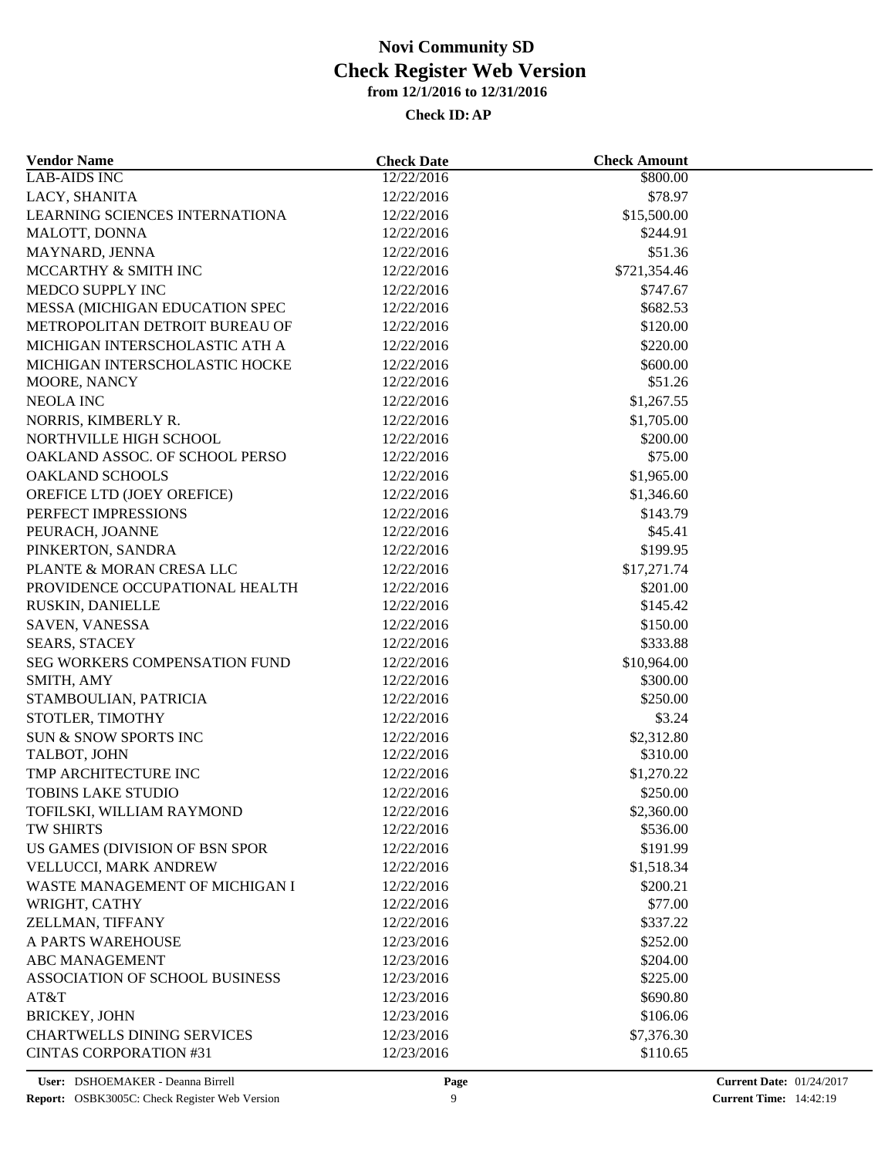| <b>Vendor Name</b>                    | <b>Check Date</b>        | <b>Check Amount</b>    |  |
|---------------------------------------|--------------------------|------------------------|--|
| <b>LAB-AIDS INC</b>                   | 12/22/2016               | \$800.00               |  |
| LACY, SHANITA                         | 12/22/2016               | \$78.97                |  |
| LEARNING SCIENCES INTERNATIONA        | 12/22/2016               | \$15,500.00            |  |
| MALOTT, DONNA                         | 12/22/2016               | \$244.91               |  |
| MAYNARD, JENNA                        | 12/22/2016               | \$51.36                |  |
| MCCARTHY & SMITH INC                  | 12/22/2016               | \$721,354.46           |  |
| MEDCO SUPPLY INC                      | 12/22/2016               | \$747.67               |  |
| MESSA (MICHIGAN EDUCATION SPEC        | 12/22/2016               | \$682.53               |  |
| METROPOLITAN DETROIT BUREAU OF        | 12/22/2016               | \$120.00               |  |
| MICHIGAN INTERSCHOLASTIC ATH A        | 12/22/2016               | \$220.00               |  |
| MICHIGAN INTERSCHOLASTIC HOCKE        | 12/22/2016               | \$600.00               |  |
| MOORE, NANCY                          | 12/22/2016               | \$51.26                |  |
| NEOLA INC                             | 12/22/2016               | \$1,267.55             |  |
| NORRIS, KIMBERLY R.                   | 12/22/2016               | \$1,705.00             |  |
| NORTHVILLE HIGH SCHOOL                | 12/22/2016               | \$200.00               |  |
| OAKLAND ASSOC. OF SCHOOL PERSO        | 12/22/2016               | \$75.00                |  |
| <b>OAKLAND SCHOOLS</b>                | 12/22/2016               | \$1,965.00             |  |
| OREFICE LTD (JOEY OREFICE)            | 12/22/2016               | \$1,346.60             |  |
| PERFECT IMPRESSIONS                   | 12/22/2016               | \$143.79               |  |
| PEURACH, JOANNE                       | 12/22/2016               | \$45.41                |  |
| PINKERTON, SANDRA                     | 12/22/2016               | \$199.95               |  |
| PLANTE & MORAN CRESA LLC              | 12/22/2016               | \$17,271.74            |  |
| PROVIDENCE OCCUPATIONAL HEALTH        | 12/22/2016               | \$201.00               |  |
| RUSKIN, DANIELLE                      | 12/22/2016               | \$145.42               |  |
| SAVEN, VANESSA                        | 12/22/2016               | \$150.00               |  |
| <b>SEARS, STACEY</b>                  | 12/22/2016               | \$333.88               |  |
| SEG WORKERS COMPENSATION FUND         | 12/22/2016               | \$10,964.00            |  |
| SMITH, AMY                            | 12/22/2016               | \$300.00               |  |
| STAMBOULIAN, PATRICIA                 | 12/22/2016               | \$250.00               |  |
| STOTLER, TIMOTHY                      | 12/22/2016               | \$3.24                 |  |
| SUN & SNOW SPORTS INC                 | 12/22/2016               | \$2,312.80             |  |
| TALBOT, JOHN                          | 12/22/2016               | \$310.00               |  |
| TMP ARCHITECTURE INC                  | 12/22/2016               | \$1,270.22             |  |
| <b>TOBINS LAKE STUDIO</b>             | 12/22/2016               | \$250.00               |  |
| TOFILSKI, WILLIAM RAYMOND             |                          |                        |  |
| TW SHIRTS                             | 12/22/2016<br>12/22/2016 | \$2,360.00<br>\$536.00 |  |
| US GAMES (DIVISION OF BSN SPOR        | 12/22/2016               | \$191.99               |  |
|                                       |                          |                        |  |
| VELLUCCI, MARK ANDREW                 | 12/22/2016               | \$1,518.34             |  |
| WASTE MANAGEMENT OF MICHIGAN I        | 12/22/2016<br>12/22/2016 | \$200.21               |  |
| WRIGHT, CATHY                         |                          | \$77.00                |  |
| ZELLMAN, TIFFANY                      | 12/22/2016               | \$337.22               |  |
| A PARTS WAREHOUSE                     | 12/23/2016               | \$252.00               |  |
| <b>ABC MANAGEMENT</b>                 | 12/23/2016               | \$204.00               |  |
| <b>ASSOCIATION OF SCHOOL BUSINESS</b> | 12/23/2016               | \$225.00               |  |
| AT&T                                  | 12/23/2016               | \$690.80               |  |
| <b>BRICKEY, JOHN</b>                  | 12/23/2016               | \$106.06               |  |
| <b>CHARTWELLS DINING SERVICES</b>     | 12/23/2016               | \$7,376.30             |  |
| <b>CINTAS CORPORATION #31</b>         | 12/23/2016               | \$110.65               |  |